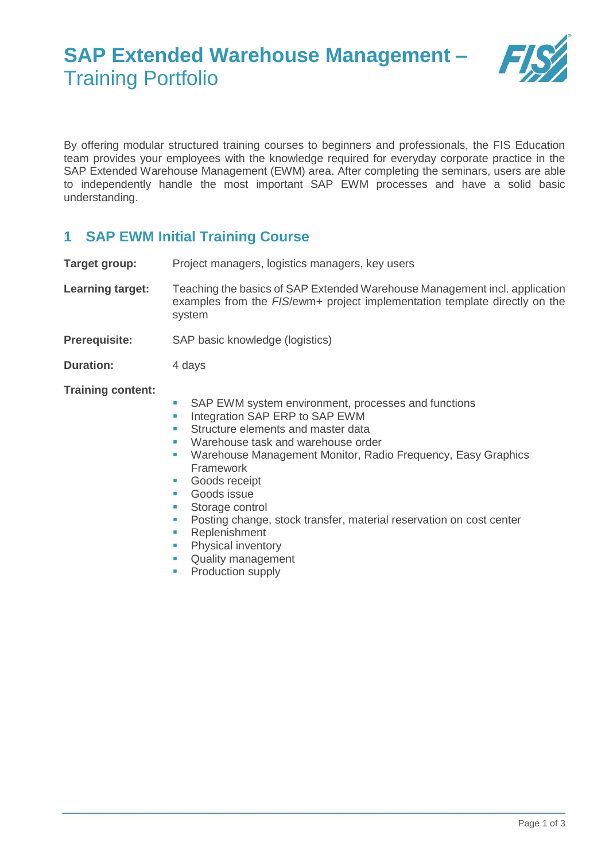# **SAP Extended Warehouse Management –** Training Portfolio



By offering modular structured training courses to beginners and professionals, the FIS Education team provides your employees with the knowledge required for everyday corporate practice in the SAP Extended Warehouse Management (EWM) area. After completing the seminars, users are able to independently handle the most important SAP EWM processes and have a solid basic understanding.

### **1 SAP EWM Initial Training Course**

**Target group:** Project managers, logistics managers, key users

**Learning target:** Teaching the basics of SAP Extended Warehouse Management incl. application examples from the *FIS*/ewm+ project implementation template directly on the system

**Prerequisite:** SAP basic knowledge (logistics)

**Duration:** 4 days

**Training content:**

- SAP EWM system environment, processes and functions
- **Integration SAP ERP to SAP EWM**
- Structure elements and master data
- Warehouse task and warehouse order
- Warehouse Management Monitor, Radio Frequency, Easy Graphics Framework
- **Goods receipt**
- **Goods** issue
- **Storage control**
- **Posting change, stock transfer, material reservation on cost center**
- **Replenishment**<br>**Physical inventer**
- Physical inventory
- **Quality management**
- Production supply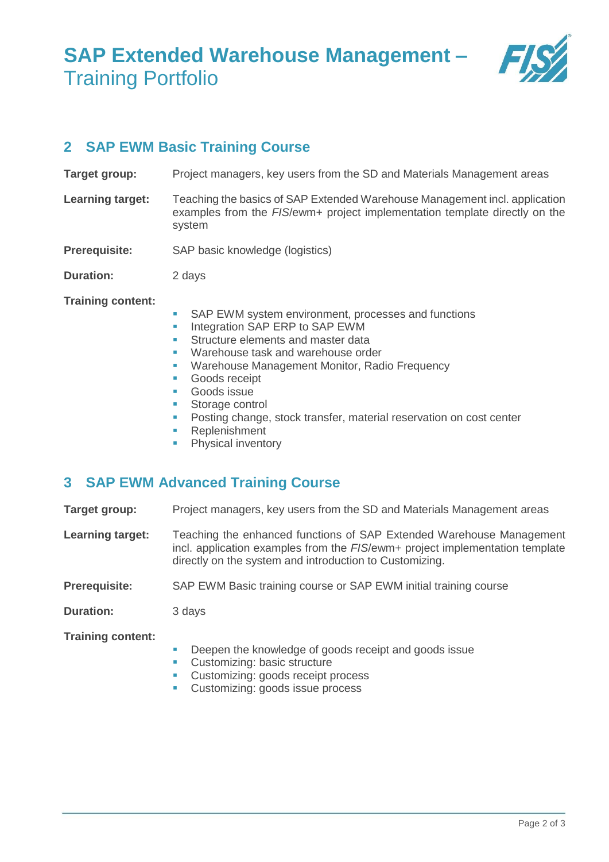# **SAP Extended Warehouse Management –** Training Portfolio



### **2 SAP EWM Basic Training Course**

- **Target group:** Project managers, key users from the SD and Materials Management areas
- **Learning target:** Teaching the basics of SAP Extended Warehouse Management incl. application examples from the *FIS*/ewm+ project implementation template directly on the system
- **Prerequisite:** SAP basic knowledge (logistics)
- **Duration:** 2 days

**Training content:**

- SAP EWM system environment, processes and functions
- **Integration SAP ERP to SAP EWM**
- Structure elements and master data
- **Warehouse task and warehouse order**
- **Warehouse Management Monitor, Radio Frequency**
- **Goods receipt**
- **Goods** issue
- **Storage control**
- **Posting change, stock transfer, material reservation on cost center**
- **Replenishment**
- Physical inventory

#### **3 SAP EWM Advanced Training Course**

**Target group:** Project managers, key users from the SD and Materials Management areas

- **Learning target:** Teaching the enhanced functions of SAP Extended Warehouse Management incl. application examples from the *FIS*/ewm+ project implementation template directly on the system and introduction to Customizing.
- **Prerequisite:** SAP EWM Basic training course or SAP EWM initial training course

**Duration:** 3 days

**Training content:**

- Deepen the knowledge of goods receipt and goods issue
- Customizing: basic structure
- Customizing: goods receipt process
- **Customizing: goods issue process**